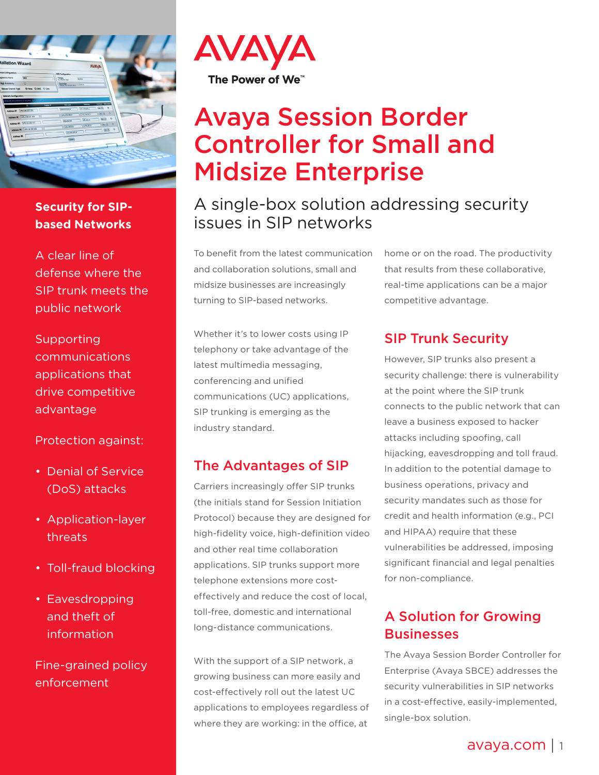

#### **Security for SIPbased Networks**

A clear line of defense where the SIP trunk meets the public network

Supporting communications applications that drive competitive advantage

Protection against:

- Denial of Service (DoS) attacks
- Application-layer threats
- Toll-fraud blocking
- Eavesdropping and theft of information

Fine-grained policy enforcement



# Avaya Session Border Controller for Small and Midsize Enterprise

## A single-box solution addressing security issues in SIP networks

To benefit from the latest communication and collaboration solutions, small and midsize businesses are increasingly turning to SIP-based networks.

Whether it's to lower costs using IP telephony or take advantage of the latest multimedia messaging, conferencing and unified communications (UC) applications, SIP trunking is emerging as the industry standard.

#### The Advantages of SIP

Carriers increasingly offer SIP trunks (the initials stand for Session Initiation Protocol) because they are designed for high-fidelity voice, high-definition video and other real time collaboration applications. SIP trunks support more telephone extensions more costeffectively and reduce the cost of local, toll-free, domestic and international long-distance communications.

With the support of a SIP network, a growing business can more easily and cost-effectively roll out the latest UC applications to employees regardless of where they are working: in the office, at

home or on the road. The productivity that results from these collaborative, real-time applications can be a major competitive advantage.

## SIP Trunk Security

However, SIP trunks also present a security challenge: there is vulnerability at the point where the SIP trunk connects to the public network that can leave a business exposed to hacker attacks including spoofing, call hijacking, eavesdropping and toll fraud. In addition to the potential damage to business operations, privacy and security mandates such as those for credit and health information (e.g., PCI and HIPAA) require that these vulnerabilities be addressed, imposing significant financial and legal penalties for non-compliance.

### A Solution for Growing **Businesses**

The Avaya Session Border Controller for Enterprise (Avaya SBCE) addresses the security vulnerabilities in SIP networks in a cost-effective, easily-implemented, single-box solution.